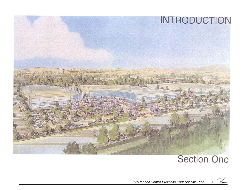

# **Section One**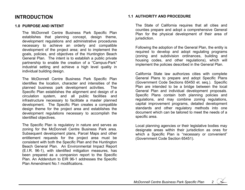## **INTRODUCTION**

#### **1.0 PURPOSE AND INTENT**

 The McDonnell Centre Business Park Specific Plan establishes that planning concept, design theme, development regulations and administrative procedures necessary to achieve an orderly and compatible development of the project area; and to implement the goals, policies, and objectives of the Huntington Beach General Plan. The intent is to establish a public private partnership to enable the creation of a "Campus-Park" industrial setting and achieve a high level quality in individual building design.

The McDonnell Centre Business Park Specific Plan identifies the location, character and intensities of the planned business park development activities. The Specific Plan establishes the alignment and design of a circulation system, and all public facilities and infrastructure necessary to facilitate a master planned development. The Specific Plan creates a compatible design theme for the project area and establishes the development regulations necessary to accomplish the identified objectives.

The Specific Plan is regulatory in nature and serves as zoning for the McDonnell Centre Business Park area. Subsequent development plans, Parcel Maps and other entitlement requests for the project area must be consistent with both the Specific Plan and the Huntington Beach General Plan. An Environmental Impact Report (E.I.R. 96-1), with identified mitigation measures, has been prepared as a companion report to the Specific Plan. An Addendum to EIR 96-1 addresses the Specific Plan Amendment No.1 modifications.

#### **1.1 AUTHORITY AND PROCEDURE**

The State of California requires that all cities and counties prepare and adopt a comprehensive General Plan for the physical development of their area of jurisdiction.

Following the adoption of the General Plan, the entity is required to develop and adopt regulating programs (zoning and subdivision ordinances, building and housing codes, and other regulations), which will implement the policies described in the General Plan.

California State law authorizes cities with complete General Plans to prepare and adopt Specific Plans (Government Code Sections 65450 et. seq.). Specific Plan are intended to be a bridge between the local General Plan and individual development proposals. Specific Plans contain both planning policies and regulations, and may combine zoning regulations, capital improvement programs, detailed development standards and other regulatory methods into one document which can be tailored to meet the needs of a specific area.

Local planning agencies or their legislative bodies may designate areas within their jurisdiction as ones for which a Specific Plan is "necessary or convenient" (Government Code Section 65451).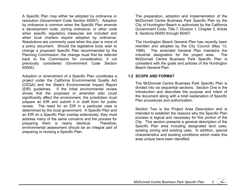A Specific Plan may either be adopted by ordinance or resolution (Government Code Section 65507). Adoption by ordinance is common when the Specific Plan amends a development code, zoning ordinance, or other code when specific regulatory measures are included and when local charters require adoption by ordinance. Resolutions are commonly used when the plan is more of a policy document. Should the legislative body wish to change a proposed Specific Plan recommended by the Planning Commission, the change must first be referred back to the Commission for consideration, if not previously considered (Government Code Section 65504).

Adoption or amendment of a Specific Plan constitutes a project under the California Environmental Quality Act (CEQA) and the State's Environmental Impact Report (EIR) guidelines. If the initial environmental review shows that the proposed or amended plan could significantly affect the environment, the jurisdiction must prepare an EIR and submit it in draft form for public review. The need for an EIR in a particular case is determined by the local government. A Specific Plan and an EIR on a Specific Plan overlap extensively; they must address many of the same concerns and the process for preparing them is nearly identical. Therefore, environmental assessment should be an integral part of preparing or revising a Specific Plan.

The preparation, adoption and implementation of the McDonnell Centre Business Park Specific Plan by the City of Huntington Beach is authorized by the California Government Code, Title 7, Division 1, Chapter 3, Article 8, Sections 65450 through 65457.

The Huntington Beach General Plan has recently been rewritten and adopted by the City Council (May 13, 1996). The amended General Plan maintains the industrial designation for the project area. The McDonnell Centre Business Park Specific Plan is consistent with the goals and policies of the Huntington Beach General Plan.

### **1.2 SCOPE AND FORMAT**

The McDonnell Centre Business Park Specific Plan is divided into six sequential sections. Section One is the Introduction and describes the purpose and intent of the document along with a brief explanation of Specific Plan procedures and authorization.

Section Two is the Project Area Description and is intended to establish the reasons why the Specific Plan process is logical and necessary for this portion of the City. This section presents a general description of the Specific Plan area including designated land uses, existing zoning and existing uses. In addition, special characteristics and existing conditions which make this area unique have been identified.